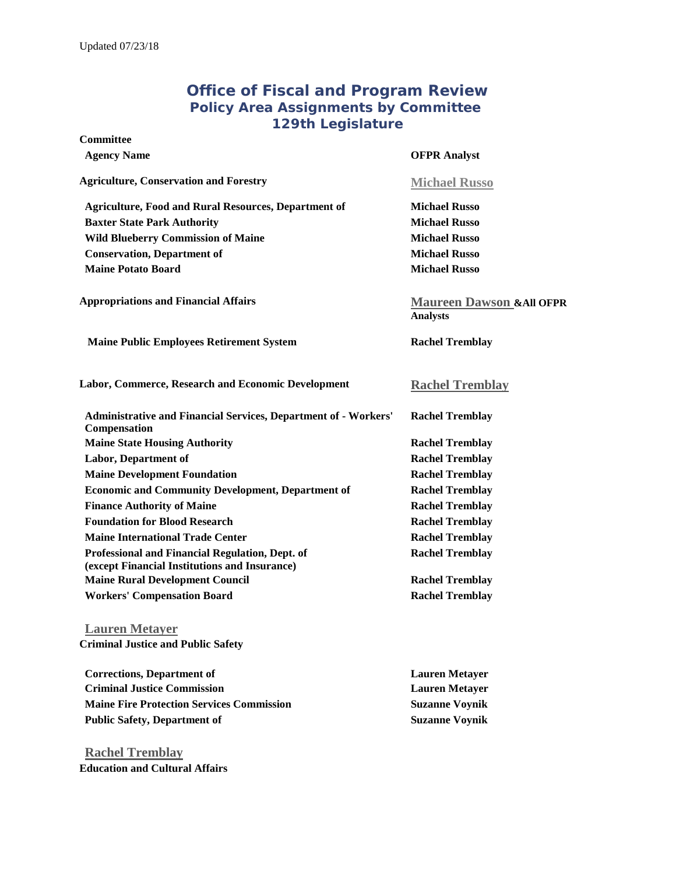# **Office of Fiscal and Program Review Policy Area Assignments by Committee 129th Legislature**

#### **Committee**

#### **Agency Name OFPR Analyst**

### **Agriculture, Conservation and Forestry [Michael Russo](mailto:michael.russo@legislature.maine.gov)**

**Analysts**

**Agriculture, Food and Rural Resources, Department of Michael Russo Baxter State Park Authority Michael Russo Michael Russo Wild Blueberry Commission of Maine Michael Russo Conservation, Department of Michael Russo Maine Potato Board Michael Russo**

**Appropriations and Financial Affairs [Maureen Dawson](mailto:maureen.dawson@legislature.maine.gov) &All OFPR** 

## **Maine Public Employees Retirement System Rachel Tremblay**

**Labor, Commerce, Research and Economic Development [Rachel Tremblay](mailto:rachel.tremblay@legislature.maine.gov)**

| <b>Rachel Tremblay</b> |
|------------------------|
|                        |
| <b>Rachel Tremblay</b> |
| <b>Rachel Tremblay</b> |
| <b>Rachel Tremblay</b> |
| <b>Rachel Tremblay</b> |
| <b>Rachel Tremblay</b> |
| <b>Rachel Tremblay</b> |
| <b>Rachel Tremblay</b> |
| <b>Rachel Tremblay</b> |
| <b>Rachel Tremblay</b> |
| <b>Rachel Tremblay</b> |
|                        |

**[Lauren Metayer](mailto:Lauren.Metayer@legislature.maine.gov) Criminal Justice and Public Safety**

| <b>Corrections, Department of</b>                | <b>Lauren Metaver</b> |
|--------------------------------------------------|-----------------------|
| <b>Criminal Justice Commission</b>               | <b>Lauren Metaver</b> |
| <b>Maine Fire Protection Services Commission</b> | <b>Suzanne Voynik</b> |
| Public Safety, Department of                     | <b>Suzanne Voynik</b> |

**[Rachel Tremblay](mailto:rachel.tremblay@legislature.maine.gov) Education and Cultural Affairs**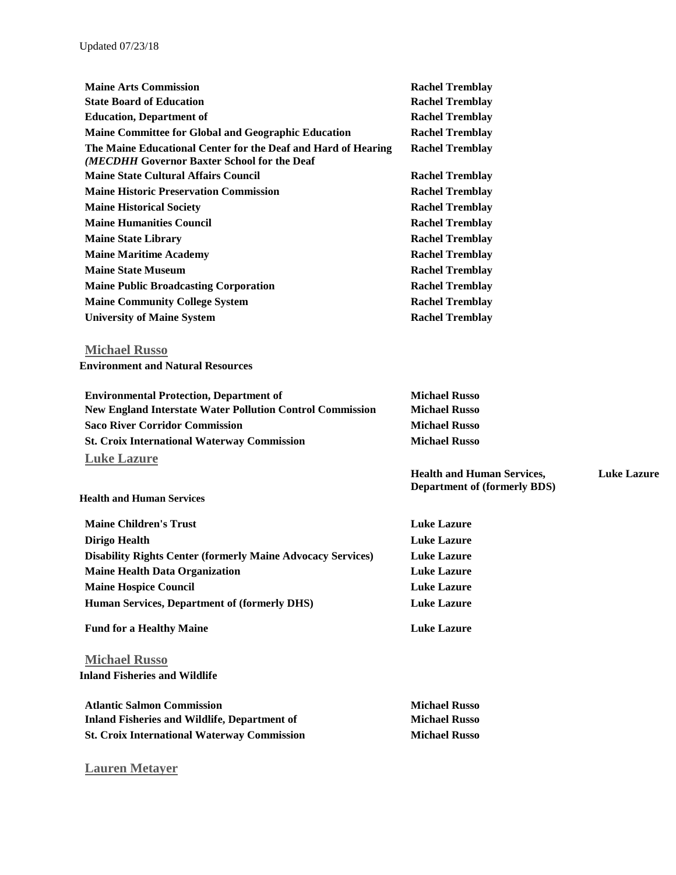| <b>Maine Arts Commission</b>                                                                                 | <b>Rachel Tremblay</b>              |                    |
|--------------------------------------------------------------------------------------------------------------|-------------------------------------|--------------------|
| <b>State Board of Education</b>                                                                              | <b>Rachel Tremblay</b>              |                    |
| <b>Education, Department of</b>                                                                              | <b>Rachel Tremblay</b>              |                    |
| <b>Maine Committee for Global and Geographic Education</b>                                                   | <b>Rachel Tremblay</b>              |                    |
| The Maine Educational Center for the Deaf and Hard of Hearing<br>(MECDHH Governor Baxter School for the Deaf | <b>Rachel Tremblay</b>              |                    |
| <b>Maine State Cultural Affairs Council</b>                                                                  | <b>Rachel Tremblay</b>              |                    |
| <b>Maine Historic Preservation Commission</b>                                                                | <b>Rachel Tremblay</b>              |                    |
| <b>Maine Historical Society</b>                                                                              | <b>Rachel Tremblay</b>              |                    |
| <b>Maine Humanities Council</b>                                                                              | <b>Rachel Tremblay</b>              |                    |
| <b>Maine State Library</b>                                                                                   | <b>Rachel Tremblay</b>              |                    |
| <b>Maine Maritime Academy</b>                                                                                | <b>Rachel Tremblay</b>              |                    |
| <b>Maine State Museum</b>                                                                                    | <b>Rachel Tremblay</b>              |                    |
| <b>Maine Public Broadcasting Corporation</b>                                                                 | <b>Rachel Tremblay</b>              |                    |
| <b>Maine Community College System</b>                                                                        | <b>Rachel Tremblay</b>              |                    |
| <b>University of Maine System</b>                                                                            | <b>Rachel Tremblay</b>              |                    |
| <b>Michael Russo</b>                                                                                         |                                     |                    |
| <b>Environment and Natural Resources</b>                                                                     |                                     |                    |
| <b>Environmental Protection, Department of</b>                                                               | <b>Michael Russo</b>                |                    |
| <b>New England Interstate Water Pollution Control Commission</b>                                             | <b>Michael Russo</b>                |                    |
| <b>Saco River Corridor Commission</b>                                                                        | <b>Michael Russo</b>                |                    |
| <b>St. Croix International Waterway Commission</b>                                                           | <b>Michael Russo</b>                |                    |
| <b>Luke Lazure</b>                                                                                           |                                     |                    |
|                                                                                                              | <b>Health and Human Services,</b>   | <b>Luke Lazure</b> |
| <b>Health and Human Services</b>                                                                             | <b>Department of (formerly BDS)</b> |                    |
| <b>Maine Children's Trust</b>                                                                                | <b>Luke Lazure</b>                  |                    |
| <b>Dirigo Health</b>                                                                                         | <b>Luke Lazure</b>                  |                    |
| <b>Disability Rights Center (formerly Maine Advocacy Services)</b>                                           | <b>Luke Lazure</b>                  |                    |
| <b>Maine Health Data Organization</b>                                                                        | <b>Luke Lazure</b>                  |                    |
| <b>Maine Hospice Council</b>                                                                                 | <b>Luke Lazure</b>                  |                    |
| Human Services, Department of (formerly DHS)                                                                 | <b>Luke Lazure</b>                  |                    |
| <b>Fund for a Healthy Maine</b>                                                                              | <b>Luke Lazure</b>                  |                    |
|                                                                                                              |                                     |                    |
| <b>Michael Russo</b>                                                                                         |                                     |                    |
| <b>Inland Fisheries and Wildlife</b>                                                                         |                                     |                    |
| <b>Atlantic Salmon Commission</b>                                                                            | <b>Michael Russo</b>                |                    |
| <b>Inland Fisheries and Wildlife, Department of</b>                                                          | <b>Michael Russo</b>                |                    |
| <b>St. Croix International Waterway Commission</b>                                                           | <b>Michael Russo</b>                |                    |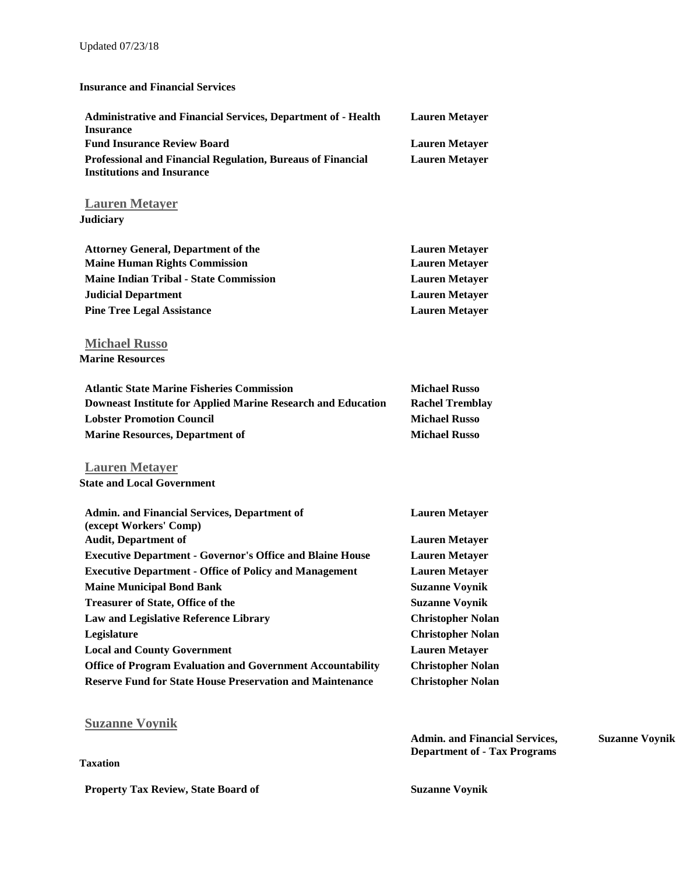## Updated 07/23/18

#### **Insurance and Financial Services**

| <b>Administrative and Financial Services, Department of - Health</b><br><b>Insurance</b>         | <b>Lauren Metayer</b>    |
|--------------------------------------------------------------------------------------------------|--------------------------|
| <b>Fund Insurance Review Board</b>                                                               | <b>Lauren Metayer</b>    |
| Professional and Financial Regulation, Bureaus of Financial<br><b>Institutions and Insurance</b> | <b>Lauren Metayer</b>    |
| <b>Lauren Metayer</b>                                                                            |                          |
| <b>Judiciary</b>                                                                                 |                          |
| <b>Attorney General, Department of the</b>                                                       | <b>Lauren Metayer</b>    |
| <b>Maine Human Rights Commission</b>                                                             | <b>Lauren Metayer</b>    |
| <b>Maine Indian Tribal - State Commission</b>                                                    | <b>Lauren Metayer</b>    |
| <b>Judicial Department</b>                                                                       | <b>Lauren Metayer</b>    |
| <b>Pine Tree Legal Assistance</b>                                                                | <b>Lauren Metayer</b>    |
| <b>Michael Russo</b>                                                                             |                          |
| <b>Marine Resources</b>                                                                          |                          |
| <b>Atlantic State Marine Fisheries Commission</b>                                                | <b>Michael Russo</b>     |
| <b>Downeast Institute for Applied Marine Research and Education</b>                              | <b>Rachel Tremblay</b>   |
| <b>Lobster Promotion Council</b>                                                                 | <b>Michael Russo</b>     |
| <b>Marine Resources, Department of</b>                                                           | <b>Michael Russo</b>     |
| <b>Lauren Metayer</b>                                                                            |                          |
| <b>State and Local Government</b>                                                                |                          |
| <b>Admin. and Financial Services, Department of</b><br>(except Workers' Comp)                    | <b>Lauren Metayer</b>    |
| <b>Audit, Department of</b>                                                                      | <b>Lauren Metayer</b>    |
| <b>Executive Department - Governor's Office and Blaine House</b>                                 | <b>Lauren Metayer</b>    |
| <b>Executive Department - Office of Policy and Management</b>                                    | <b>Lauren Metayer</b>    |
| <b>Maine Municipal Bond Bank</b>                                                                 | <b>Suzanne Voynik</b>    |
| <b>Treasurer of State, Office of the</b>                                                         | <b>Suzanne Voynik</b>    |
| <b>Law and Legislative Reference Library</b>                                                     | <b>Christopher Nolan</b> |

| Legislature                                                       | <b>Christopher Nolan</b> |
|-------------------------------------------------------------------|--------------------------|
| <b>Local and County Government</b>                                | <b>Lauren Metaver</b>    |
| <b>Office of Program Evaluation and Government Accountability</b> | <b>Christopher Nolan</b> |
| <b>Reserve Fund for State House Preservation and Maintenance</b>  | <b>Christopher Nolan</b> |

# **[Suzanne Voynik](mailto:suzanne.voynik@legislature.maine.gov)**

| Taxation                                   | <b>Admin. and Financial Services,</b><br><b>Department of - Tax Programs</b> | <b>Suzanne Voynik</b> |
|--------------------------------------------|------------------------------------------------------------------------------|-----------------------|
| <b>Property Tax Review, State Board of</b> | <b>Suzanne Voynik</b>                                                        |                       |